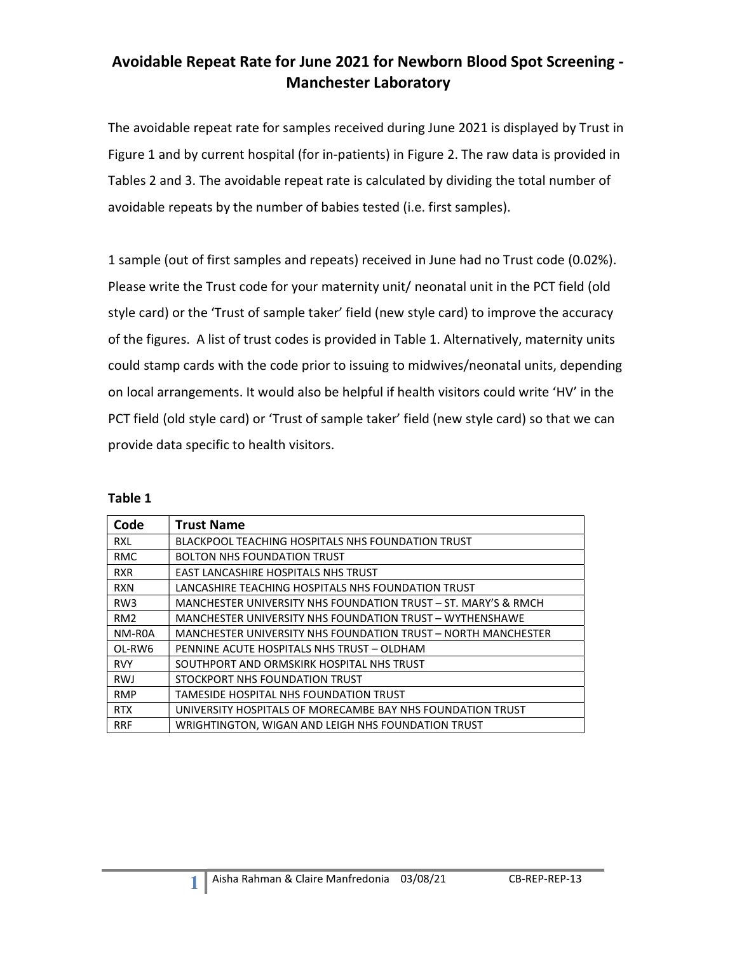### Avoidable Repeat Rate for June 2021 for Newborn Blood Spot Screening - Manchester Laboratory

The avoidable repeat rate for samples received during June 2021 is displayed by Trust in Figure 1 and by current hospital (for in-patients) in Figure 2. The raw data is provided in Tables 2 and 3. The avoidable repeat rate is calculated by dividing the total number of avoidable repeats by the number of babies tested (i.e. first samples).

1 sample (out of first samples and repeats) received in June had no Trust code (0.02%). Please write the Trust code for your maternity unit/ neonatal unit in the PCT field (old style card) or the 'Trust of sample taker' field (new style card) to improve the accuracy of the figures. A list of trust codes is provided in Table 1. Alternatively, maternity units could stamp cards with the code prior to issuing to midwives/neonatal units, depending on local arrangements. It would also be helpful if health visitors could write 'HV' in the PCT field (old style card) or 'Trust of sample taker' field (new style card) so that we can provide data specific to health visitors.

| Code            | <b>Trust Name</b>                                              |
|-----------------|----------------------------------------------------------------|
| <b>RXL</b>      | <b>BLACKPOOL TEACHING HOSPITALS NHS FOUNDATION TRUST</b>       |
| <b>RMC</b>      | <b>BOLTON NHS FOUNDATION TRUST</b>                             |
| <b>RXR</b>      | <b>EAST LANCASHIRE HOSPITALS NHS TRUST</b>                     |
| <b>RXN</b>      | LANCASHIRE TEACHING HOSPITALS NHS FOUNDATION TRUST             |
| RW <sub>3</sub> | MANCHESTER UNIVERSITY NHS FOUNDATION TRUST - ST. MARY'S & RMCH |
| RM <sub>2</sub> | MANCHESTER UNIVERSITY NHS FOUNDATION TRUST - WYTHENSHAWE       |
| NM-R0A          | MANCHESTER UNIVERSITY NHS FOUNDATION TRUST - NORTH MANCHESTER  |
| OL-RW6          | PENNINE ACUTE HOSPITALS NHS TRUST - OLDHAM                     |
| <b>RVY</b>      | SOUTHPORT AND ORMSKIRK HOSPITAL NHS TRUST                      |
| <b>RWJ</b>      | STOCKPORT NHS FOUNDATION TRUST                                 |
| <b>RMP</b>      | TAMESIDE HOSPITAL NHS FOUNDATION TRUST                         |
| <b>RTX</b>      | UNIVERSITY HOSPITALS OF MORECAMBE BAY NHS FOUNDATION TRUST     |
| <b>RRF</b>      | WRIGHTINGTON, WIGAN AND LEIGH NHS FOUNDATION TRUST             |

| ю<br>Π<br>г |  |
|-------------|--|
|-------------|--|

1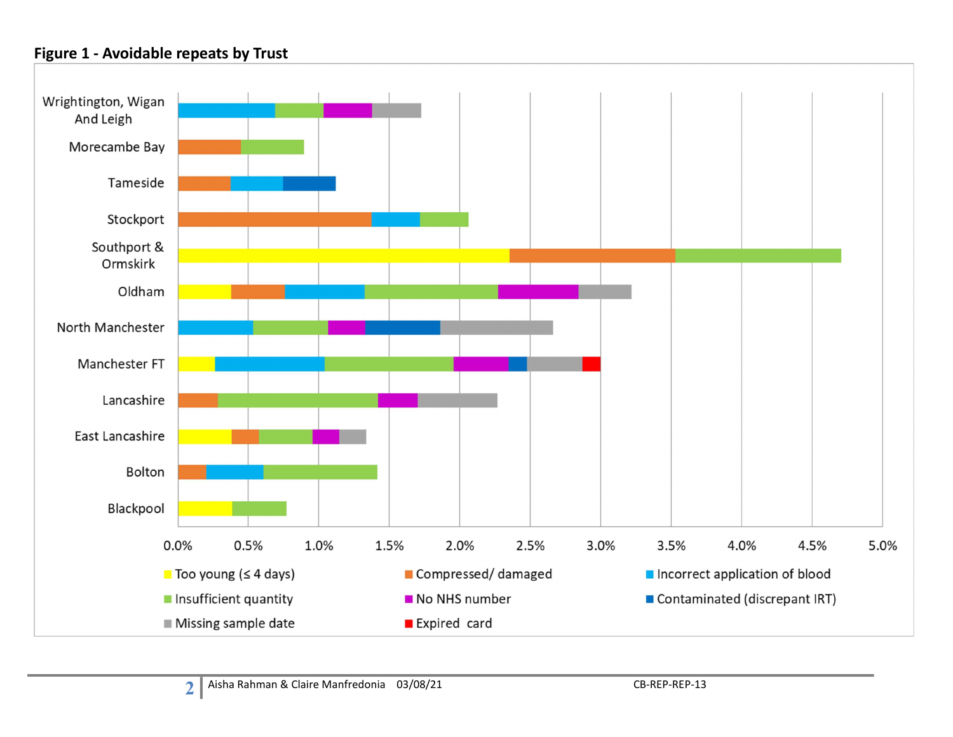#### Figure 1 - Avoidable repeats by Trust

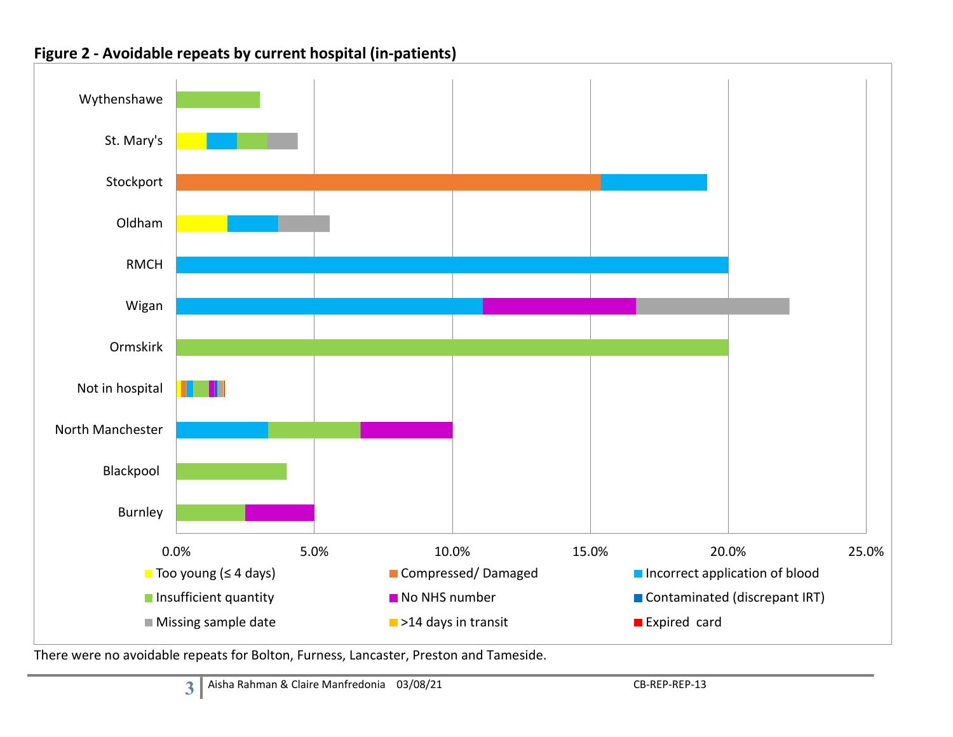



There were no avoidable repeats for Bolton, Furness, Lancaster, Preston and Tameside.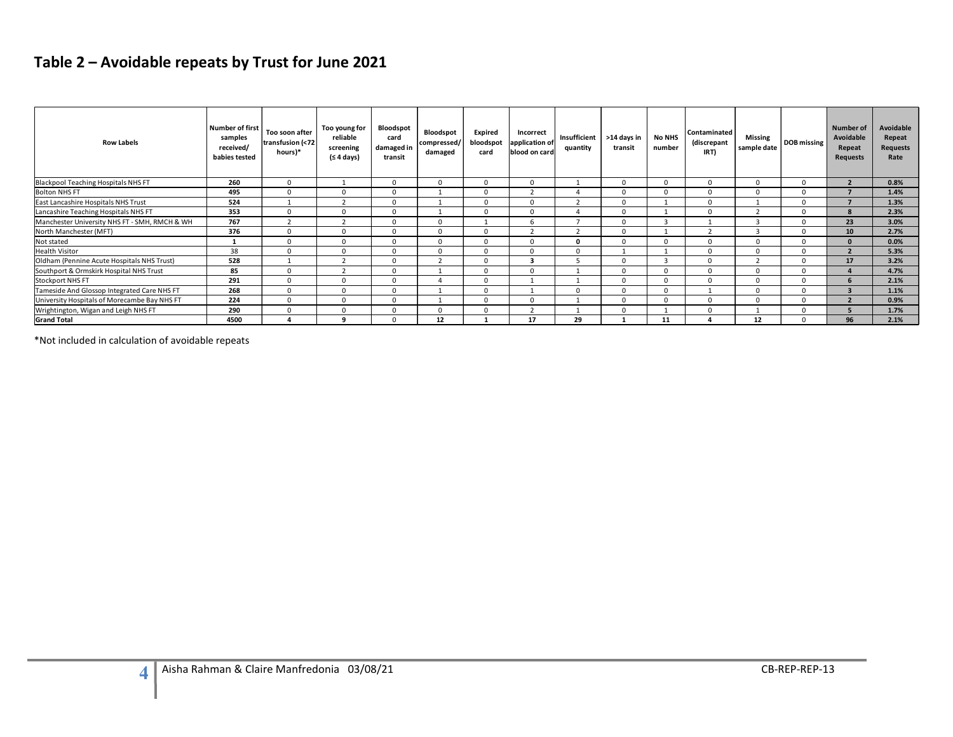# Table 2 – Avoidable repeats by Trust for June 2021

| <b>Row Labels</b>                                                                    | <b>Number of first</b><br>samples<br>received/<br>babies tested | Too soon after<br>transfusion (<72<br>hours)* | Too young for<br>reliable<br>screening<br>(≤ 4 days) | Bloodspot<br>card<br>damaged in<br>transit | Bloodspot<br>compressed/<br>damaged | Expired<br>bloodspot<br>card     | Incorrect<br>application of<br>blood on card | Insufficient<br>quantity | >14 days in<br>transit           | No NHS<br>number               | Contaminated<br>(discrepant<br>IRT) | <b>Missing</b><br>sample date | DOB missing                   | Number of<br>Avoidable<br>Repeat<br><b>Requests</b> | Avoidable<br>Repeat<br>Requests<br>Rate |
|--------------------------------------------------------------------------------------|-----------------------------------------------------------------|-----------------------------------------------|------------------------------------------------------|--------------------------------------------|-------------------------------------|----------------------------------|----------------------------------------------|--------------------------|----------------------------------|--------------------------------|-------------------------------------|-------------------------------|-------------------------------|-----------------------------------------------------|-----------------------------------------|
| Blackpool Teaching Hospitals NHS FT                                                  | 260                                                             | $\Omega$                                      | $\overline{1}$                                       | $\Omega$                                   | $\Omega$                            | $\Omega$                         | $\Omega$                                     | $\mathbf{1}$             | $\Omega$                         | $\overline{0}$                 | $\Omega$                            | $\Omega$                      | $\overline{0}$                | $\overline{2}$                                      | 0.8%                                    |
| <b>Bolton NHS FT</b>                                                                 | 495                                                             | $\mathbf 0$                                   | $\mathbf 0$                                          | $\overline{0}$                             | <sup>1</sup>                        | $\overline{0}$                   | $\overline{2}$                               | $\overline{4}$           | $\overline{0}$                   | $\mathbf 0$                    | $\overline{0}$                      | $\mathbf 0$                   | $\mathbf 0$                   | $\overline{7}$                                      | 1.4%                                    |
| East Lancashire Hospitals NHS Trust                                                  | 524                                                             | $\overline{1}$                                | $\overline{2}$                                       | $\overline{0}$                             | $\mathbf{1}$                        | $\overline{0}$                   | $\overline{0}$                               | $\overline{2}$           | $\overline{0}$                   | 1                              | $\mathbf{0}$                        | 1                             | $\overline{0}$                | $\overline{7}$                                      | 1.3%                                    |
| Lancashire Teaching Hospitals NHS FT                                                 | 353                                                             | $\mathbf{0}$                                  | $\overline{0}$                                       | $\overline{0}$                             | 1                                   | $\overline{0}$                   | $\overline{0}$                               | $\overline{4}$           | $\overline{0}$                   | $\mathbf{1}$                   | $\mathbf{0}$                        | $\overline{2}$                | $\overline{0}$                | 8                                                   | 2.3%                                    |
| Manchester University NHS FT - SMH, RMCH & WH                                        | 767                                                             | $\overline{2}$                                | $\overline{2}$                                       | $\overline{0}$                             | $\overline{0}$                      | 1                                | 6                                            | $7^{\circ}$              | $\overline{0}$                   | $\overline{\mathbf{3}}$        | 1                                   | $\overline{\mathbf{3}}$       | $\overline{0}$                | 23                                                  | 3.0%                                    |
| North Manchester (MFT)                                                               | 376                                                             | $\mathbf{0}$                                  | $\overline{0}$                                       | $\overline{0}$                             | $\overline{0}$                      | $\overline{0}$                   | $\overline{2}$                               | $\overline{2}$           | $\overline{0}$                   | $\overline{1}$                 | $\overline{2}$                      | $\overline{\mathbf{3}}$       | $\overline{0}$                | 10 <sup>1</sup>                                     | 2.7%                                    |
| Not stated                                                                           | $\mathbf{1}$                                                    | $\mathbf{0}$                                  | $\overline{0}$                                       | $\overline{0}$                             | $\mathbf 0$                         | $\overline{0}$                   | $\overline{0}$                               | $\mathbf{0}$             | $\overline{0}$                   | $\overline{0}$                 | $\overline{0}$                      | $\mathbf 0$                   | $\overline{0}$                | $\mathbf{0}$                                        | 0.0%                                    |
| <b>Health Visitor</b>                                                                | 38                                                              | $\mathbf{0}$                                  | $\overline{0}$                                       | $\overline{0}$                             | $\overline{0}$                      | $\overline{0}$                   | $\overline{0}$                               | $\overline{0}$           | 1                                | 1                              | $\mathbf{0}$                        | $\overline{0}$                | $\overline{0}$                | $\overline{2}$                                      | 5.3%                                    |
|                                                                                      | 528                                                             | 1                                             | 2                                                    | $\overline{0}$                             | $\overline{2}$                      | $\overline{0}$                   | $\overline{\mathbf{3}}$                      | 5                        | $\overline{0}$                   | $\overline{\mathbf{3}}$        | $\mathbf 0$                         | $\overline{2}$                | $\overline{0}$                | 17                                                  | 3.2%                                    |
|                                                                                      |                                                                 |                                               |                                                      |                                            |                                     |                                  |                                              |                          |                                  |                                |                                     | $\overline{0}$                | $\overline{0}$                | $\overline{4}$                                      | 4.7%                                    |
| Oldham (Pennine Acute Hospitals NHS Trust)                                           | 85                                                              | $\mathbf{0}$                                  | $\overline{2}$                                       | $\overline{0}$                             | 1                                   | $\overline{0}$                   | $\overline{0}$                               | 1                        | $\overline{0}$                   | $\overline{0}$                 | $\mathbf{0}$                        |                               |                               |                                                     |                                         |
|                                                                                      |                                                                 | $\mathbf{0}$                                  | $\overline{0}$                                       | $\overline{0}$                             | $\overline{4}$                      | $\overline{0}$                   | $\mathbf{1}$                                 | $\overline{1}$           | $\overline{0}$                   |                                | $\mathbf{0}$                        | $\overline{0}$                | $\overline{0}$                | $6 \overline{6}$                                    |                                         |
| <b>Southport &amp; Ormskirk Hospital NHS Trust<br/>Stockport NHS FT</b>              | 291                                                             | $\mathbf{0}$                                  | $\overline{0}$                                       | $\overline{0}$                             | 1                                   | $\overline{0}$                   | 1                                            | $\overline{0}$           | $\overline{0}$                   | $\overline{0}$<br>$\mathbf{0}$ | 1                                   | $\overline{0}$                | $\overline{0}$                | $\overline{\mathbf{3}}$                             | 2.1%                                    |
| Tameside And Glossop Integrated Care NHS FT                                          | 268                                                             |                                               |                                                      |                                            |                                     |                                  |                                              |                          |                                  |                                |                                     |                               |                               |                                                     | 1.1%                                    |
| University Hospitals of Morecambe Bay NHS FT<br>Wrightington, Wigan and Leigh NHS FT | 224<br>290                                                      | $\mathbf{0}$<br>$\Omega$                      | $\mathbf 0$<br>$\overline{0}$                        | $\overline{0}$<br>$\Omega$                 | 1<br>$\overline{0}$                 | $\overline{0}$<br>$\overline{0}$ | $\overline{0}$<br>$\overline{2}$             | 1<br>$\overline{1}$      | $\overline{0}$<br>$\overline{0}$ | $\overline{0}$<br>1            | $\mathbf 0$<br>$\mathbf{0}$         | $\mathbf 0$<br>1              | $\overline{0}$<br>$\mathbf 0$ | $\overline{2}$<br>5                                 | 0.9%<br>1.7%                            |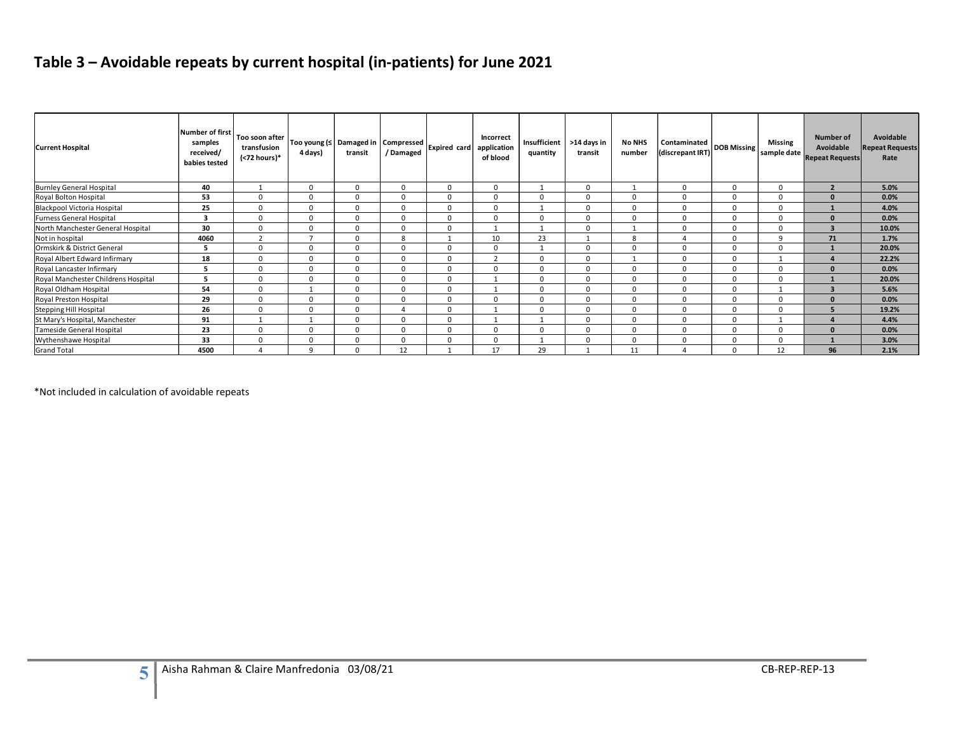# Table 3 – Avoidable repeats by current hospital (in-patients) for June 2021

|                                     | <b>Number of first</b>                | Too soon after              |                |              |                                                  |                          | Incorrect      |                          |                        |                         |                                  |                |                        | <b>Number of</b>                    | Avoidable              |
|-------------------------------------|---------------------------------------|-----------------------------|----------------|--------------|--------------------------------------------------|--------------------------|----------------|--------------------------|------------------------|-------------------------|----------------------------------|----------------|------------------------|-------------------------------------|------------------------|
| <b>Current Hospital</b>             | samples<br>received/<br>babies tested | transfusion<br>(<72 hours)* | 4 days)        | transit      | Too young (≤ Damaged in   Compressed<br>/Damaged | Expired card application | of blood       | Insufficient<br>quantity | >14 days in<br>transit | <b>No NHS</b><br>number | Contaminated<br>(discrepant IRT) | DOB Missing    | Missing<br>sample date | Avoidable<br><b>Repeat Requests</b> | epeat Requests<br>Rate |
| <b>Burnley General Hospital</b>     | 40                                    | 1                           | $\mathbf 0$    | $\mathbf 0$  | $\mathbf 0$                                      | $\mathbf 0$              | $\mathbf 0$    | 1                        | $\mathbf 0$            | 1                       | $\mathbf 0$                      | $\mathbf 0$    | $\mathbf{0}$           | $\overline{2}$                      | 5.0%                   |
| Royal Bolton Hospital               | 53                                    | $\mathbf 0$                 | $\mathbf 0$    | $\mathbf 0$  | $\mathbf 0$                                      | $\overline{0}$           | $\mathsf 0$    | $\mathbf 0$              | $\mathbf 0$            | $\mathbf 0$             | $\Omega$                         | $\mathbf 0$    | $\mathbf 0$            | $\mathbf 0$                         | 0.0%                   |
| Blackpool Victoria Hospital         | 25                                    | $\mathbf 0$                 | $\mathbf{0}$   | $\mathbf{0}$ | $\mathbf 0$                                      | $\mathbf 0$              | $\overline{0}$ | 1                        | $\mathbf 0$            | $\overline{0}$          | $\mathbf 0$                      | $\overline{0}$ | $\overline{0}$         | $\mathbf{1}$                        | 4.0%                   |
| Furness General Hospital            | $\overline{\mathbf{3}}$               | $\mathbf 0$                 | $\mathbf 0$    | $\mathbf 0$  | $\mathbf 0$                                      | $\mathbf 0$              | $\mathbf 0$    | $\mathbf 0$              | $\mathbf 0$            | $\mathbf 0$             | $\mathbf 0$                      | $\mathbf{0}$   | $\Omega$               | $\pmb{0}$                           | 0.0%                   |
| North Manchester General Hospital   | 30                                    | $\mathbf{0}$                | $\mathbf{0}$   | $\mathbf{0}$ | $\mathbf{0}$                                     | $\mathbf 0$              | 1              | 1                        | $\overline{0}$         | 1                       | 0                                | $\Omega$       | $\Omega$               | $\overline{\mathbf{3}}$             | 10.0%                  |
| Not in hospital                     | 4060                                  | $\overline{2}$              | $\overline{7}$ | $\mathbf 0$  | 8                                                | 1                        | 10             | 23                       | 1                      | 8                       | $\overline{4}$                   | $\mathbf 0$    | 9                      | 71                                  | 1.7%                   |
| Ormskirk & District General         | 5                                     | $\mathbf{0}$                | $\mathbf 0$    | $\mathbf 0$  | $\mathbf 0$                                      | $\mathbf 0$              | $\overline{0}$ | 1                        | $\mathbf 0$            | $\mathbf 0$             | $\mathbf 0$                      | $\overline{0}$ | $\overline{0}$         | $\mathbf{1}$                        | 20.0%                  |
| Royal Albert Edward Infirmary       | 18                                    | $\mathbf{0}$                | $\mathbf 0$    | $\mathbf 0$  | $\mathbf 0$                                      | $\mathbf 0$              | 2              | $\mathbf{0}$             | $\mathbf{0}$           | 1                       | $\mathbf 0$                      | $\mathbf{0}$   | 1                      | $\overline{4}$                      | 22.2%                  |
| Royal Lancaster Infirmary           | $5\overline{5}$                       | $\mathbf{0}$                | $\overline{0}$ | $\mathbf{0}$ | $\mathbf{0}$                                     | $\overline{0}$           | $\mathbf 0$    | $\overline{0}$           | $\overline{0}$         | $\mathbf 0$             | $\mathbf 0$                      | $\mathbf 0$    | $\mathbf 0$            | $\mathbf{0}$                        | 0.0%                   |
| Royal Manchester Childrens Hospital | $\overline{\phantom{0}}$              | $\mathbf 0$                 | $\mathbf 0$    | $\mathbf 0$  | $\mathbf 0$                                      | $\overline{0}$           | 1              | $\mathbf 0$              | $\mathbf 0$            | $\mathbf 0$             | $\mathbf 0$                      | $\mathbf 0$    | $\mathbf 0$            | $\mathbf{1}$                        | 20.0%                  |
| Royal Oldham Hospital               | 54                                    | $\mathbf{0}$                | 1              | $\mathbf 0$  | $\mathbf 0$                                      | $\mathbf 0$              | 1              | $\mathbf{0}$             | $\mathbf 0$            | $\mathbf 0$             | $\mathbf 0$                      | $\mathbf 0$    | $\mathbf{1}$           | $\overline{\mathbf{3}}$             | 5.6%                   |
| Royal Preston Hospital              | 29                                    | $\mathbf 0$                 | $\mathbf 0$    | $\mathbf 0$  | $\mathbf 0$                                      | $\overline{0}$           | $\mathbf 0$    | $\mathbf 0$              | $\mathbf 0$            | $\mathbf 0$             | $\mathbf 0$                      | $\mathbf 0$    | $\mathbf 0$            | $\mathbf 0$                         | 0.0%                   |
| <b>Stepping Hill Hospital</b>       | 26                                    | $\mathbf 0$                 | $\mathbf 0$    | $\mathbf 0$  | $\overline{4}$                                   | $\mathbf 0$              | 1              | $\mathbf 0$              | $\mathbf 0$            | $\mathbf 0$             | $\mathbf 0$                      | $\mathbf 0$    | $\Omega$               | 5 <sub>5</sub>                      | 19.2%                  |
| St Mary's Hospital, Manchester      | 91                                    | 1                           | $\mathbf{1}$   | $\mathbf 0$  | $\mathbf 0$                                      | $\mathbf 0$              | 1              | 1                        | $\mathbf 0$            | $\overline{0}$          | $\mathbf 0$                      | $\overline{0}$ | $\overline{1}$         | $\overline{4}$                      | 4.4%                   |
| Tameside General Hospital           | 23                                    | $\mathbf{0}$                | $\mathbf 0$    | $\mathbf{0}$ | $\mathbf 0$                                      | $\mathbf 0$              | $\mathbf 0$    | $\overline{0}$           | $\mathbf 0$            | $\overline{0}$          | $\mathbf 0$                      | $\mathbf 0$    | $\overline{0}$         | $\mathbf{0}$                        | 0.0%                   |
| Wythenshawe Hospital                | 33                                    | $\mathbf{0}$                | $\mathbf 0$    | $\mathbf 0$  | $\mathbf 0$                                      | $\mathbf 0$              | $\mathbf 0$    | 1                        | $\mathbf 0$            | $\mathbf 0$             | $\mathbf 0$                      | $\Omega$       | $\Omega$               | $\mathbf{1}$                        | 3.0%                   |
| <b>Grand Total</b>                  | 4500                                  | $\overline{4}$              | 9              | $\mathbf 0$  | 12                                               | $\overline{1}$           | 17             | 29                       | 1                      | 11                      | $\overline{4}$                   | $\Omega$       | 12                     | 96                                  | 2.1%                   |

5